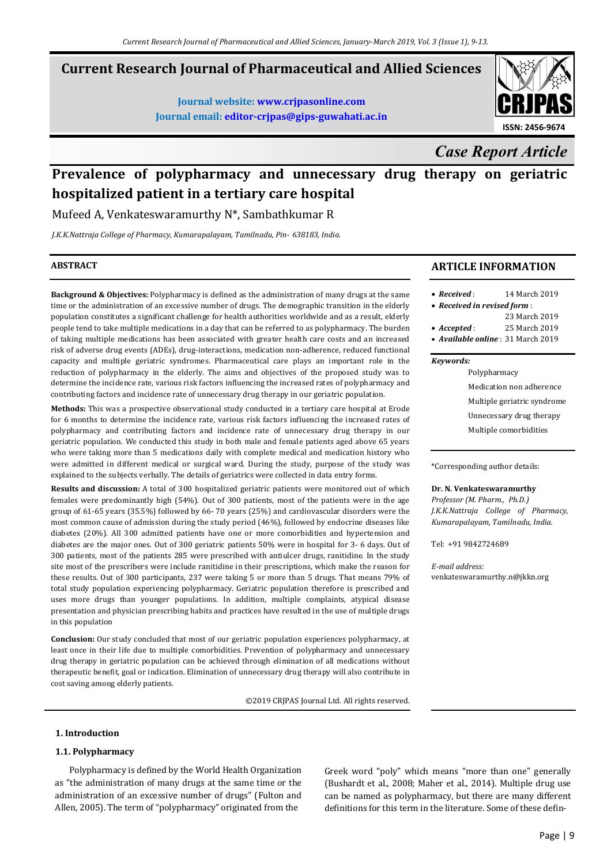## **Current Research Journal of Pharmaceutical and Allied Sciences**

**Journal website: www.crjpasonline.com Journal email: editor-crjpas@gips-guwahati.ac.in** 



*Case Report Article*

# **Prevalence of polypharmacy and unnecessary drug therapy on geriatric hospitalized patient in a tertiary care hospital**

Mufeed A, Venkateswaramurthy N\*, Sambathkumar R

*J.K.K.Nattraja College of Pharmacy, Kumarapalayam, Tamilnadu, Pin- 638183, India.*

## **ABSTRACT**

**Background & Objectives:** Polypharmacy is defined as the administration of many drugs at the same time or the administration of an excessive number of drugs. The demographic transition in the elderly population constitutes a significant challenge for health authorities worldwide and as a result, elderly people tend to take multiple medications in a day that can be referred to as polypharmacy. The burden of taking multiple medications has been associated with greater health care costs and an increased risk of adverse drug events (ADEs), drug-interactions, medication non-adherence, reduced functional capacity and multiple geriatric syndromes. Pharmaceutical care plays an important role in the reduction of polypharmacy in the elderly. The aims and objectives of the proposed study was to determine the incidence rate, various risk factors influencing the increased rates of polypharmacy and contributing factors and incidence rate of unnecessary drug therapy in our geriatric population.

**Methods:** This was a prospective observational study conducted in a tertiary care hospital at Erode for 6 months to determine the incidence rate, various risk factors influencing the increased rates of polypharmacy and contributing factors and incidence rate of unnecessary drug therapy in our geriatric population. We conducted this study in both male and female patients aged above 65 years who were taking more than 5 medications daily with complete medical and medication history who were admitted in different medical or surgical ward. During the study, purpose of the study was explained to the subjects verbally. The details of geriatrics were collected in data entry forms.

**Results and discussion:** A total of 300 hospitalized geriatric patients were monitored out of which females were predominantly high (54%). Out of 300 patients, most of the patients were in the age group of 61-65 years (35.5%) followed by 66- 70 years (25%) and cardiovascular disorders were the most common cause of admission during the study period (46%), followed by endocrine diseases like diabetes (20%). All 300 admitted patients have one or more comorbidities and hypertension and diabetes are the major ones. Out of 300 geriatric patients 50% were in hospital for 3- 6 days. Out of 300 patients, most of the patients 285 were prescribed with antiulcer drugs, ranitidine. In the study site most of the prescribers were include ranitidine in their prescriptions, which make the reason for these results. Out of 300 participants, 237 were taking 5 or more than 5 drugs. That means 79% of total study population experiencing polypharmacy. Geriatric population therefore is prescribed and uses more drugs than younger populations. In addition, multiple complaints, atypical disease presentation and physician prescribing habits and practices have resulted in the use of multiple drugs in this population

**Conclusion:** Our study concluded that most of our geriatric population experiences polypharmacy, at least once in their life due to multiple comorbidities. Prevention of polypharmacy and unnecessary drug therapy in geriatric population can be achieved through elimination of all medications without therapeutic benefit, goal or indication. Elimination of unnecessary drug therapy will also contribute in cost saving among elderly patients.

©2019 CRJPAS Journal Ltd. All rights reserved.

#### **1. Introduction**

## **1.1. Polypharmacy**

 Polypharmacy is defined by the World Health Organization as "the administration of many drugs at the same time or the administration of an excessive number of drugs" (Fulton and Allen, 2005). The term of "polypharmacy" originated from the

Greek word "poly" which means "more than one" generally (Bushardt et al., 2008; Maher et al., 2014). Multiple drug use can be named as polypharmacy, but there are many different definitions for this term in the literature. Some of these defin-

## **ARTICLE INFORMATION**

| $\bullet$ Received:                       | 14 March 2019 |
|-------------------------------------------|---------------|
| • Received in revised form:               |               |
|                                           | 23 March 2019 |
| $\bullet$ Accepted :                      | 25 March 2019 |
| • <i>Available online</i> : 31 March 2019 |               |
|                                           |               |

#### *Keywords:*

Polypharmacy Medication non adherence Multiple geriatric syndrome Unnecessary drug therapy Multiple comorbidities

\*Corresponding author details:

#### **Dr. N. Venkateswaramurthy**

*Professor (M. Pharm., Ph.D.) J.K.K.Nattraja College of Pharmacy, Kumarapalayam, Tamilnadu, India.* 

Tel: +91 9842724689

*E-mail address:* venkateswaramurthy.n@jkkn.org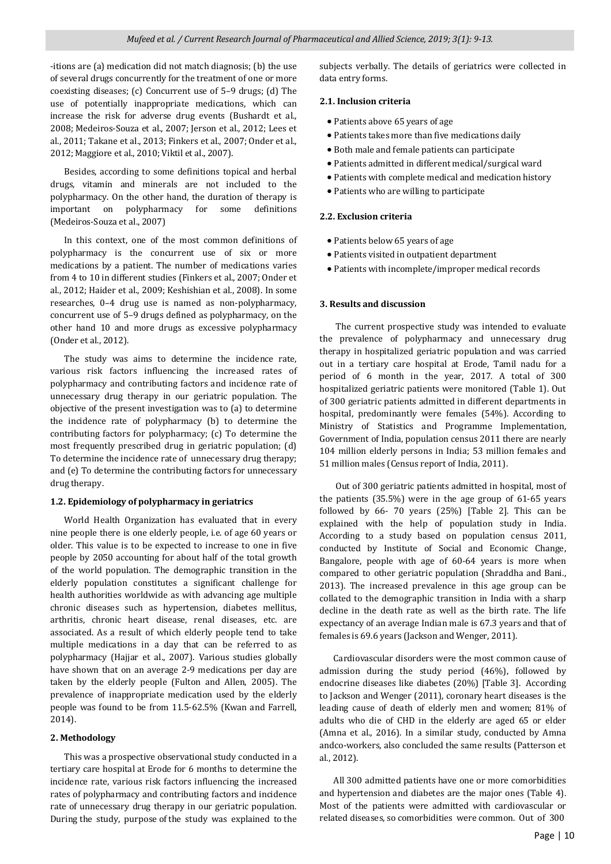-itions are (a) medication did not match diagnosis; (b) the use of several drugs concurrently for the treatment of one or more coexisting diseases; (c) Concurrent use of 5–9 drugs; (d) The use of potentially inappropriate medications, which can increase the risk for adverse drug events (Bushardt et al., 2008; Medeiros-Souza et al., 2007; Jerson et al., 2012; Lees et al., 2011; Takane et al., 2013; Finkers et al., 2007; Onder et al., 2012; Maggiore et al., 2010; Viktil et al., 2007).

 Besides, according to some definitions topical and herbal drugs, vitamin and minerals are not included to the polypharmacy. On the other hand, the duration of therapy is important on polypharmacy for some definitions (Medeiros-Souza et al., 2007)

 In this context, one of the most common definitions of polypharmacy is the concurrent use of six or more medications by a patient. The number of medications varies from 4 to 10 in different studies (Finkers et al., 2007; Onder et al., 2012; Haider et al., 2009; Keshishian et al., 2008). In some researches, 0–4 drug use is named as non-polypharmacy, concurrent use of 5–9 drugs defined as polypharmacy, on the other hand 10 and more drugs as excessive polypharmacy (Onder et al., 2012).

 The study was aims to determine the incidence rate, various risk factors influencing the increased rates of polypharmacy and contributing factors and incidence rate of unnecessary drug therapy in our geriatric population. The objective of the present investigation was to (a) to determine the incidence rate of polypharmacy (b) to determine the contributing factors for polypharmacy; (c) To determine the most frequently prescribed drug in geriatric population; (d) To determine the incidence rate of unnecessary drug therapy; and (e) To determine the contributing factors for unnecessary drug therapy.

## **1.2. Epidemiology of polypharmacy in geriatrics**

 World Health Organization has evaluated that in every nine people there is one elderly people, i.e. of age 60 years or older. This value is to be expected to increase to one in five people by 2050 accounting for about half of the total growth of the world population. The demographic transition in the elderly population constitutes a significant challenge for health authorities worldwide as with advancing age multiple chronic diseases such as hypertension, diabetes mellitus, arthritis, chronic heart disease, renal diseases, etc. are associated. As a result of which elderly people tend to take multiple medications in a day that can be referred to as polypharmacy (Hajjar et al., 2007). Various studies globally have shown that on an average 2-9 medications per day are taken by the elderly people (Fulton and Allen, 2005). The prevalence of inappropriate medication used by the elderly people was found to be from 11.5-62.5% (Kwan and Farrell, 2014).

## **2. Methodology**

 This was a prospective observational study conducted in a tertiary care hospital at Erode for 6 months to determine the incidence rate, various risk factors influencing the increased rates of polypharmacy and contributing factors and incidence rate of unnecessary drug therapy in our geriatric population. During the study, purpose of the study was explained to the subjects verbally. The details of geriatrics were collected in data entry forms.

## **2.1. Inclusion criteria**

- Patients above 65 years of age
- Patients takes more than five medications daily
- Both male and female patients can participate
- Patients admitted in different medical/surgical ward
- Patients with complete medical and medication history
- Patients who are willing to participate

## **2.2. Exclusion criteria**

- Patients below 65 years of age
- Patients visited in outpatient department
- Patients with incomplete/improper medical records

## **3. Results and discussion**

 The current prospective study was intended to evaluate the prevalence of polypharmacy and unnecessary drug therapy in hospitalized geriatric population and was carried out in a tertiary care hospital at Erode, Tamil nadu for a period of 6 month in the year, 2017. A total of 300 hospitalized geriatric patients were monitored (Table 1). Out of 300 geriatric patients admitted in different departments in hospital, predominantly were females (54%). According to Ministry of Statistics and Programme Implementation, Government of India, population census 2011 there are nearly 104 million elderly persons in India; 53 million females and 51 million males (Census report of India, 2011).

 Out of 300 geriatric patients admitted in hospital, most of the patients (35.5%) were in the age group of 61-65 years followed by 66- 70 years (25%) [Table 2]. This can be explained with the help of population study in India. According to a study based on population census 2011, conducted by Institute of Social and Economic Change, Bangalore, people with age of 60-64 years is more when compared to other geriatric population (Shraddha and Bani., 2013). The increased prevalence in this age group can be collated to the demographic transition in India with a sharp decline in the death rate as well as the birth rate. The life expectancy of an average Indian male is 67.3 years and that of females is 69.6 years (Jackson and Wenger, 2011).

 Cardiovascular disorders were the most common cause of admission during the study period (46%), followed by endocrine diseases like diabetes (20%) [Table 3]. According to Jackson and Wenger (2011), coronary heart diseases is the leading cause of death of elderly men and women; 81% of adults who die of CHD in the elderly are aged 65 or elder (Amna et al., 2016). In a similar study, conducted by Amna andco-workers, also concluded the same results (Patterson et al., 2012).

 All 300 admitted patients have one or more comorbidities and hypertension and diabetes are the major ones (Table 4). Most of the patients were admitted with cardiovascular or related diseases, so comorbidities were common. Out of 300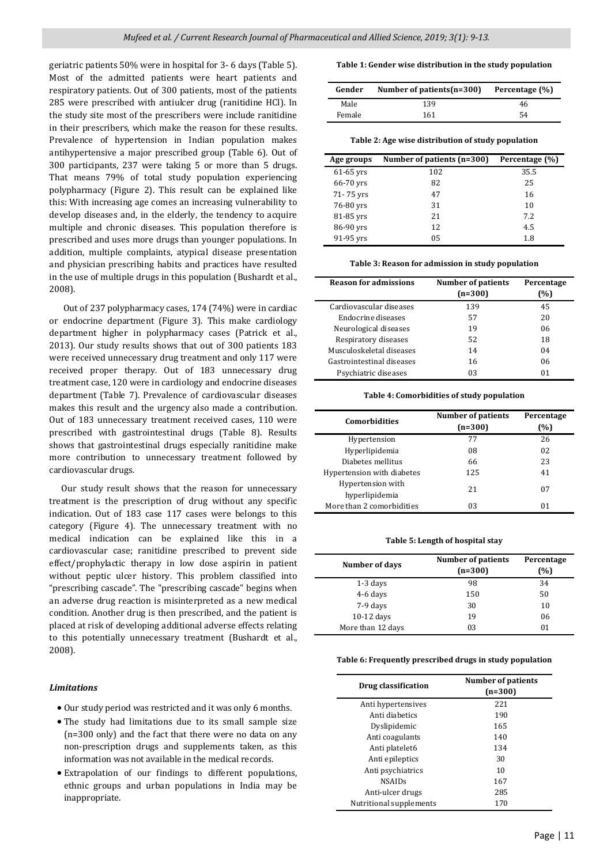geriatric patients 50% were in hospital for 3- 6 days (Table 5). Most of the admitted patients were heart patients and respiratory patients. Out of 300 patients, most of the patients 285 were prescribed with antiulcer drug (ranitidine HCl). In the study site most of the prescribers were include ranitidine in their prescribers, which make the reason for these results. Prevalence of hypertension in Indian population makes antihypertensive a major prescribed group (Table 6). Out of 300 participants, 237 were taking 5 or more than 5 drugs. That means 79% of total study population experiencing polypharmacy (Figure 2). This result can be explained like this: With increasing age comes an increasing vulnerability to develop diseases and, in the elderly, the tendency to acquire multiple and chronic diseases. This population therefore is prescribed and uses more drugs than younger populations. In addition, multiple complaints, atypical disease presentation and physician prescribing habits and practices have resulted in the use of multiple drugs in this population (Bushardt et al., 2008).

 Out of 237 polypharmacy cases, 174 (74%) were in cardiac or endocrine department (Figure 3). This make cardiology department higher in polypharmacy cases (Patrick et al., 2013). Our study results shows that out of 300 patients 183 were received unnecessary drug treatment and only 117 were received proper therapy. Out of 183 unnecessary drug treatment case, 120 were in cardiology and endocrine diseases department (Table 7). Prevalence of cardiovascular diseases makes this result and the urgency also made a contribution. Out of 183 unnecessary treatment received cases, 110 were prescribed with gastrointestinal drugs (Table 8). Results shows that gastrointestinal drugs especially ranitidine make more contribution to unnecessary treatment followed by cardiovascular drugs.

 Our study result shows that the reason for unnecessary treatment is the prescription of drug without any specific indication. Out of 183 case 117 cases were belongs to this category (Figure 4). The unnecessary treatment with no medical indication can be explained like this in a cardiovascular case; ranitidine prescribed to prevent side effect/prophylactic therapy in low dose aspirin in patient without peptic ulcer history. This problem classified into "prescribing cascade". The "prescribing cascade" begins when an adverse drug reaction is misinterpreted as a new medical condition. Another drug is then prescribed, and the patient is placed at risk of developing additional adverse effects relating to this potentially unnecessary treatment (Bushardt et al., 2008).

## *Limitations*

- Our study period was restricted and it was only 6 months.
- The study had limitations due to its small sample size (n=300 only) and the fact that there were no data on any non-prescription drugs and supplements taken, as this information was not available in the medical records.
- Extrapolation of our findings to different populations, ethnic groups and urban populations in India may be inappropriate.

#### **Table 1: Gender wise distribution in the study population**

| Gender        | Number of patients $(n=300)$ | Percentage (%) |
|---------------|------------------------------|----------------|
| Male          | 139                          | 46             |
| <b>Female</b> | 161                          | 54             |

**Table 2: Age wise distribution of study population**

| Age groups  | Number of patients (n=300) | Percentage (%) |
|-------------|----------------------------|----------------|
| $61-65$ yrs | 102                        | 35.5           |
| 66-70 yrs   | 82                         | 25             |
| 71-75 yrs   | 47                         | 16             |
| 76-80 yrs   | 31                         | 10             |
| 81-85 yrs   | 21                         | 7.2.           |
| 86-90 yrs   | 12                         | 4.5            |
| 91-95 yrs   | 05                         | 1.8            |

**Table 3: Reason for admission in study population**

| <b>Reason for admissions</b> | Number of patients<br>$(n=300)$ | Percentage<br>(%) |
|------------------------------|---------------------------------|-------------------|
| Cardiovascular diseases      | 139                             | 45                |
| Endocrine diseases           | 57                              | 20                |
| Neurological diseases        | 19                              | 06                |
| Respiratory diseases         | 52                              | 18                |
| Musculoskeletal diseases     | 14                              | 04                |
| Gastrointestinal diseases    | 16                              | 06                |
| Psychiatric diseases         | 03                              | 01                |

#### **Table 4: Comorbidities of study population**

| <b>Comorbidities</b>                | <b>Number of patients</b><br>$(n=300)$ | Percentage<br>(%) |
|-------------------------------------|----------------------------------------|-------------------|
| Hypertension                        | 77                                     | 26                |
| Hyperlipidemia                      | 08                                     | 02                |
| Diabetes mellitus                   | 66                                     | 23                |
| Hypertension with diabetes          | 125                                    | 41                |
| Hypertension with<br>hyperlipidemia | 21                                     | 07                |
| More than 2 comorbidities           | 03                                     | 01                |

#### **Table 5: Length of hospital stay**

| Number of days    | <b>Number of patients</b><br>$(n=300)$ | Percentage<br>(%) |
|-------------------|----------------------------------------|-------------------|
| $1-3$ days        | 98                                     | 34                |
| 4-6 days          | 150                                    | 50                |
| 7-9 days          | 30                                     | 10                |
| $10-12$ days      | 19                                     | 06                |
| More than 12 days | 03                                     | 01                |

**Table 6: Frequently prescribed drugs in study population** 

| Drug classification     | <b>Number of patients</b><br>$(n=300)$ |
|-------------------------|----------------------------------------|
| Anti hypertensives      | 221                                    |
| Anti diabetics          | 190                                    |
| Dyslipidemic            | 165                                    |
| Anti coagulants         | 140                                    |
| Anti platelet6          | 134                                    |
| Anti epileptics         | 30                                     |
| Anti psychiatrics       | 10                                     |
| <b>NSAIDs</b>           | 167                                    |
| Anti-ulcer drugs        | 285                                    |
| Nutritional supplements | 170                                    |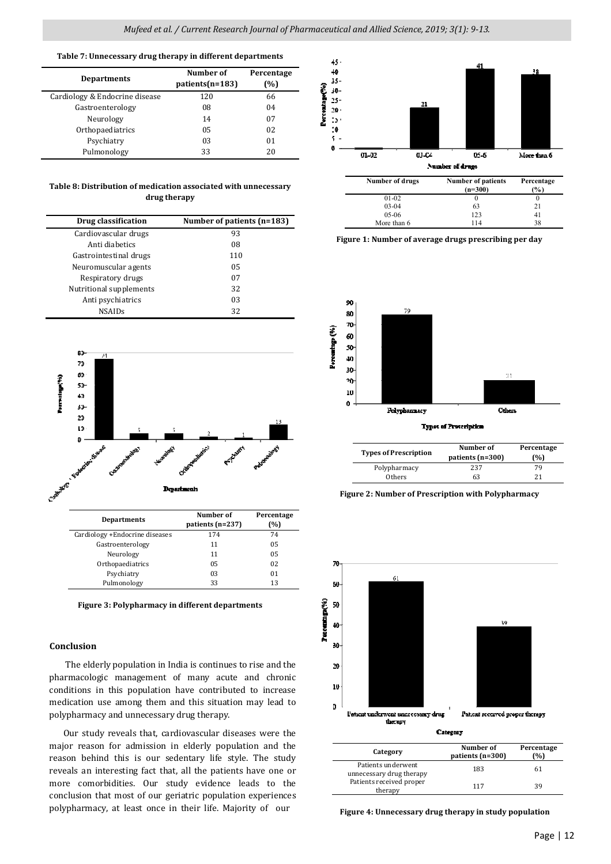#### **Table 7: Unnecessary drug therapy in different departments**

|                                | Number of         | Percentage |
|--------------------------------|-------------------|------------|
| <b>Departments</b>             | $patients(n=183)$ | (%)        |
| Cardiology & Endocrine disease | 120               | 66         |
| Gastroenterology               | 08                | 04         |
| Neurology                      | 14                | 07         |
| Orthopaediatrics               | 05                | 02         |
| Psychiatry                     | 03                | 01         |
| Pulmonology                    | 33                | 20         |

#### **Table 8: Distribution of medication associated with unnecessary drug therapy**

| Drug classification     | Number of patients (n=183) |
|-------------------------|----------------------------|
| Cardiovascular drugs    | 93                         |
| Anti diabetics          | 08                         |
| Gastrointestinal drugs  | 110                        |
| Neuromuscular agents    | 05                         |
| Respiratory drugs       | 07                         |
| Nutritional supplements | 32                         |
| Anti psychiatrics       | 03                         |
| <b>NSAIDs</b>           | 32                         |



| Cardiology +Endocrine diseases | 174 | 74 |
|--------------------------------|-----|----|
| Gastroenterology               | 11  | 05 |
| Neurology                      | 11  | 05 |
| Orthopaediatrics               | 05  | 02 |
| Psychiatry                     | 03  | 01 |
| Pulmonology                    | 33  | 13 |

**Figure 3: Polypharmacy in different departments**

## **Conclusion**

 The elderly population in India is continues to rise and the pharmacologic management of many acute and chronic conditions in this population have contributed to increase medication use among them and this situation may lead to polypharmacy and unnecessary drug therapy.

 Our study reveals that, cardiovascular diseases were the major reason for admission in elderly population and the reason behind this is our sedentary life style. The study reveals an interesting fact that, all the patients have one or more comorbidities. Our study evidence leads to the conclusion that most of our geriatric population experiences polypharmacy, at least once in their life. Majority of our



| Number of arugs | Number of patients<br>$(n=300)$ | гегсенияе<br>$\frac{6}{6}$ |
|-----------------|---------------------------------|----------------------------|
| $01 - 02$       |                                 |                            |
| $03-04$         | 63                              | 21                         |
| $05-06$         | 123                             | 41                         |
| More than 6     | 114                             | 38                         |

**Figure 1: Number of average drugs prescribing per day** 



| <b>Types of Prescription</b> | Number of<br>patients (n=300) | Percentage<br>(%) |
|------------------------------|-------------------------------|-------------------|
| Polypharmacy                 | 237                           | 79                |
| Others                       | 63                            | 21                |

**Figure 2: Number of Prescription with Polypharmacy** 



| Category                                       | Number of<br>patients (n=300) | Percentage<br>(%) |
|------------------------------------------------|-------------------------------|-------------------|
| Patients underwent<br>unnecessary drug therapy | 183                           | 61                |
| Patients received proper<br>therapy            | 117                           | 39                |

 **Figure 4: Unnecessary drug therapy in study population**